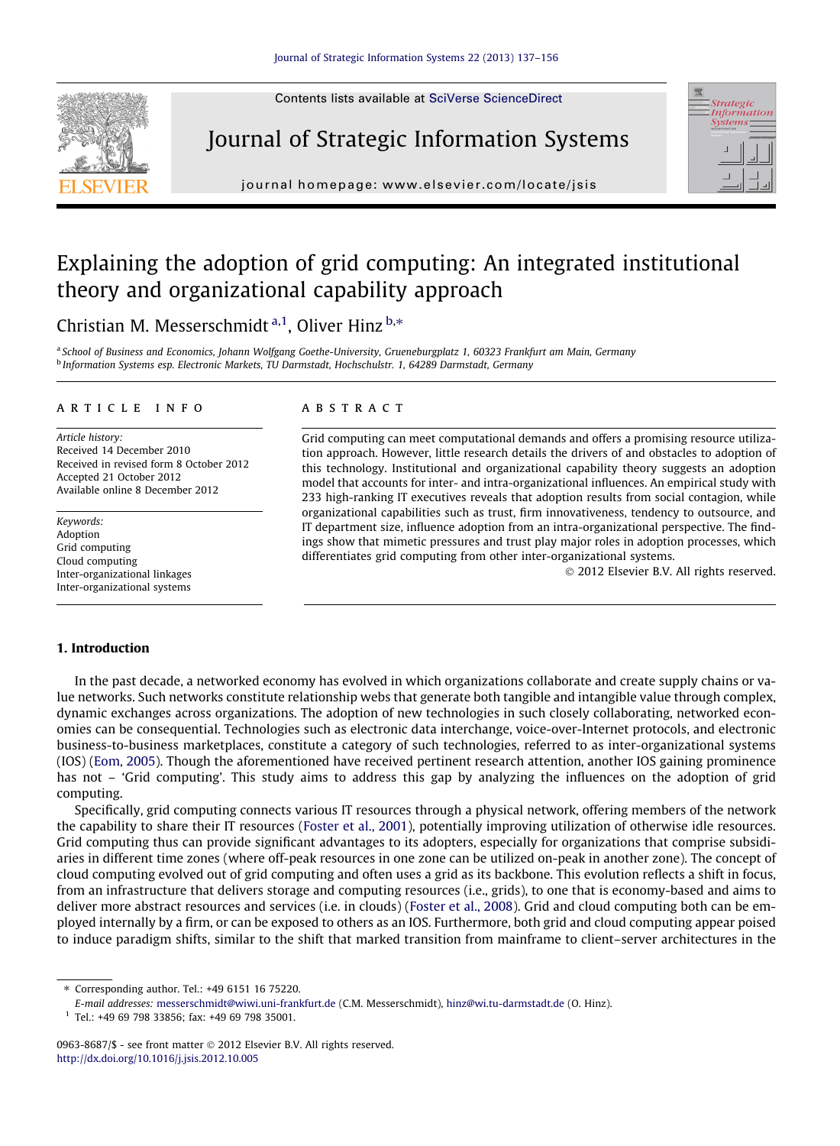Contents lists available at [SciVerse ScienceDirect](http://www.sciencedirect.com/science/journal/09638687)



## Journal of Strategic Information Systems



journal homepage: [www.elsevier.com/locate/jsis](http://www.elsevier.com/locate/jsis)

# Explaining the adoption of grid computing: An integrated institutional theory and organizational capability approach

Christian M. Messerschmidt <sup>a, 1</sup>, Oliver Hinz <sup>b,\*</sup>

a School of Business and Economics, Johann Wolfgang Goethe-University, Grueneburgplatz 1, 60323 Frankfurt am Main, Germany <sup>b</sup> Information Systems esp. Electronic Markets, TU Darmstadt, Hochschulstr. 1, 64289 Darmstadt, Germany

#### article info

Article history: Received 14 December 2010 Received in revised form 8 October 2012 Accepted 21 October 2012 Available online 8 December 2012

Keywords: Adoption Grid computing Cloud computing Inter-organizational linkages Inter-organizational systems

### **ABSTRACT**

Grid computing can meet computational demands and offers a promising resource utilization approach. However, little research details the drivers of and obstacles to adoption of this technology. Institutional and organizational capability theory suggests an adoption model that accounts for inter- and intra-organizational influences. An empirical study with 233 high-ranking IT executives reveals that adoption results from social contagion, while organizational capabilities such as trust, firm innovativeness, tendency to outsource, and IT department size, influence adoption from an intra-organizational perspective. The findings show that mimetic pressures and trust play major roles in adoption processes, which differentiates grid computing from other inter-organizational systems.

- 2012 Elsevier B.V. All rights reserved.

### 1. Introduction

In the past decade, a networked economy has evolved in which organizations collaborate and create supply chains or value networks. Such networks constitute relationship webs that generate both tangible and intangible value through complex, dynamic exchanges across organizations. The adoption of new technologies in such closely collaborating, networked economies can be consequential. Technologies such as electronic data interchange, voice-over-Internet protocols, and electronic business-to-business marketplaces, constitute a category of such technologies, referred to as inter-organizational systems (IOS) [\(Eom, 2005\)](#page--1-0). Though the aforementioned have received pertinent research attention, another IOS gaining prominence has not – 'Grid computing'. This study aims to address this gap by analyzing the influences on the adoption of grid computing.

Specifically, grid computing connects various IT resources through a physical network, offering members of the network the capability to share their IT resources ([Foster et al., 2001](#page--1-0)), potentially improving utilization of otherwise idle resources. Grid computing thus can provide significant advantages to its adopters, especially for organizations that comprise subsidiaries in different time zones (where off-peak resources in one zone can be utilized on-peak in another zone). The concept of cloud computing evolved out of grid computing and often uses a grid as its backbone. This evolution reflects a shift in focus, from an infrastructure that delivers storage and computing resources (i.e., grids), to one that is economy-based and aims to deliver more abstract resources and services (i.e. in clouds) ([Foster et al., 2008\)](#page--1-0). Grid and cloud computing both can be employed internally by a firm, or can be exposed to others as an IOS. Furthermore, both grid and cloud computing appear poised to induce paradigm shifts, similar to the shift that marked transition from mainframe to client–server architectures in the

⇑ Corresponding author. Tel.: +49 6151 16 75220.

E-mail addresses: [messerschmidt@wiwi.uni-frankfurt.de](mailto:messerschmidt@wiwi.uni-frankfurt.de) (C.M. Messerschmidt), [hinz@wi.tu-darmstadt.de](mailto:hinz@wi.tu-darmstadt.de) (O. Hinz).

<sup>1</sup> Tel.: +49 69 798 33856; fax: +49 69 798 35001.

0963-8687/\$ - see front matter © 2012 Elsevier B.V. All rights reserved. <http://dx.doi.org/10.1016/j.jsis.2012.10.005>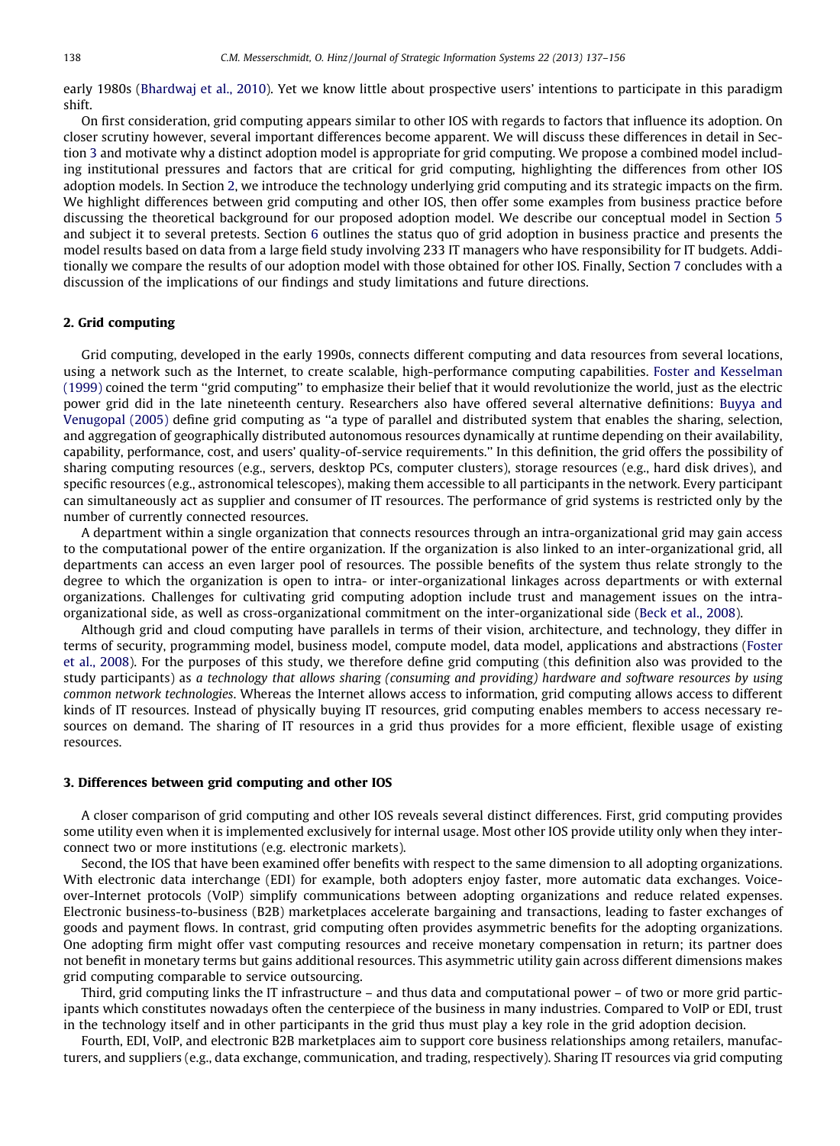early 1980s [\(Bhardwaj et al., 2010](#page--1-0)). Yet we know little about prospective users' intentions to participate in this paradigm shift.

On first consideration, grid computing appears similar to other IOS with regards to factors that influence its adoption. On closer scrutiny however, several important differences become apparent. We will discuss these differences in detail in Section 3 and motivate why a distinct adoption model is appropriate for grid computing. We propose a combined model including institutional pressures and factors that are critical for grid computing, highlighting the differences from other IOS adoption models. In Section 2, we introduce the technology underlying grid computing and its strategic impacts on the firm. We highlight differences between grid computing and other IOS, then offer some examples from business practice before discussing the theoretical background for our proposed adoption model. We describe our conceptual model in Section 5 and subject it to several pretests. Section 6 outlines the status quo of grid adoption in business practice and presents the model results based on data from a large field study involving 233 IT managers who have responsibility for IT budgets. Additionally we compare the results of our adoption model with those obtained for other IOS. Finally, Section 7 concludes with a discussion of the implications of our findings and study limitations and future directions.

#### 2. Grid computing

Grid computing, developed in the early 1990s, connects different computing and data resources from several locations, using a network such as the Internet, to create scalable, high-performance computing capabilities. [Foster and Kesselman](#page--1-0) [\(1999\)](#page--1-0) coined the term ''grid computing'' to emphasize their belief that it would revolutionize the world, just as the electric power grid did in the late nineteenth century. Researchers also have offered several alternative definitions: [Buyya and](#page--1-0) [Venugopal \(2005\)](#page--1-0) define grid computing as ''a type of parallel and distributed system that enables the sharing, selection, and aggregation of geographically distributed autonomous resources dynamically at runtime depending on their availability, capability, performance, cost, and users' quality-of-service requirements.'' In this definition, the grid offers the possibility of sharing computing resources (e.g., servers, desktop PCs, computer clusters), storage resources (e.g., hard disk drives), and specific resources (e.g., astronomical telescopes), making them accessible to all participants in the network. Every participant can simultaneously act as supplier and consumer of IT resources. The performance of grid systems is restricted only by the number of currently connected resources.

A department within a single organization that connects resources through an intra-organizational grid may gain access to the computational power of the entire organization. If the organization is also linked to an inter-organizational grid, all departments can access an even larger pool of resources. The possible benefits of the system thus relate strongly to the degree to which the organization is open to intra- or inter-organizational linkages across departments or with external organizations. Challenges for cultivating grid computing adoption include trust and management issues on the intraorganizational side, as well as cross-organizational commitment on the inter-organizational side ([Beck et al., 2008](#page--1-0)).

Although grid and cloud computing have parallels in terms of their vision, architecture, and technology, they differ in terms of security, programming model, business model, compute model, data model, applications and abstractions [\(Foster](#page--1-0) [et al., 2008\)](#page--1-0). For the purposes of this study, we therefore define grid computing (this definition also was provided to the study participants) as a technology that allows sharing (consuming and providing) hardware and software resources by using common network technologies. Whereas the Internet allows access to information, grid computing allows access to different kinds of IT resources. Instead of physically buying IT resources, grid computing enables members to access necessary resources on demand. The sharing of IT resources in a grid thus provides for a more efficient, flexible usage of existing resources.

#### 3. Differences between grid computing and other IOS

A closer comparison of grid computing and other IOS reveals several distinct differences. First, grid computing provides some utility even when it is implemented exclusively for internal usage. Most other IOS provide utility only when they interconnect two or more institutions (e.g. electronic markets).

Second, the IOS that have been examined offer benefits with respect to the same dimension to all adopting organizations. With electronic data interchange (EDI) for example, both adopters enjoy faster, more automatic data exchanges. Voiceover-Internet protocols (VoIP) simplify communications between adopting organizations and reduce related expenses. Electronic business-to-business (B2B) marketplaces accelerate bargaining and transactions, leading to faster exchanges of goods and payment flows. In contrast, grid computing often provides asymmetric benefits for the adopting organizations. One adopting firm might offer vast computing resources and receive monetary compensation in return; its partner does not benefit in monetary terms but gains additional resources. This asymmetric utility gain across different dimensions makes grid computing comparable to service outsourcing.

Third, grid computing links the IT infrastructure – and thus data and computational power – of two or more grid participants which constitutes nowadays often the centerpiece of the business in many industries. Compared to VoIP or EDI, trust in the technology itself and in other participants in the grid thus must play a key role in the grid adoption decision.

Fourth, EDI, VoIP, and electronic B2B marketplaces aim to support core business relationships among retailers, manufacturers, and suppliers (e.g., data exchange, communication, and trading, respectively). Sharing IT resources via grid computing